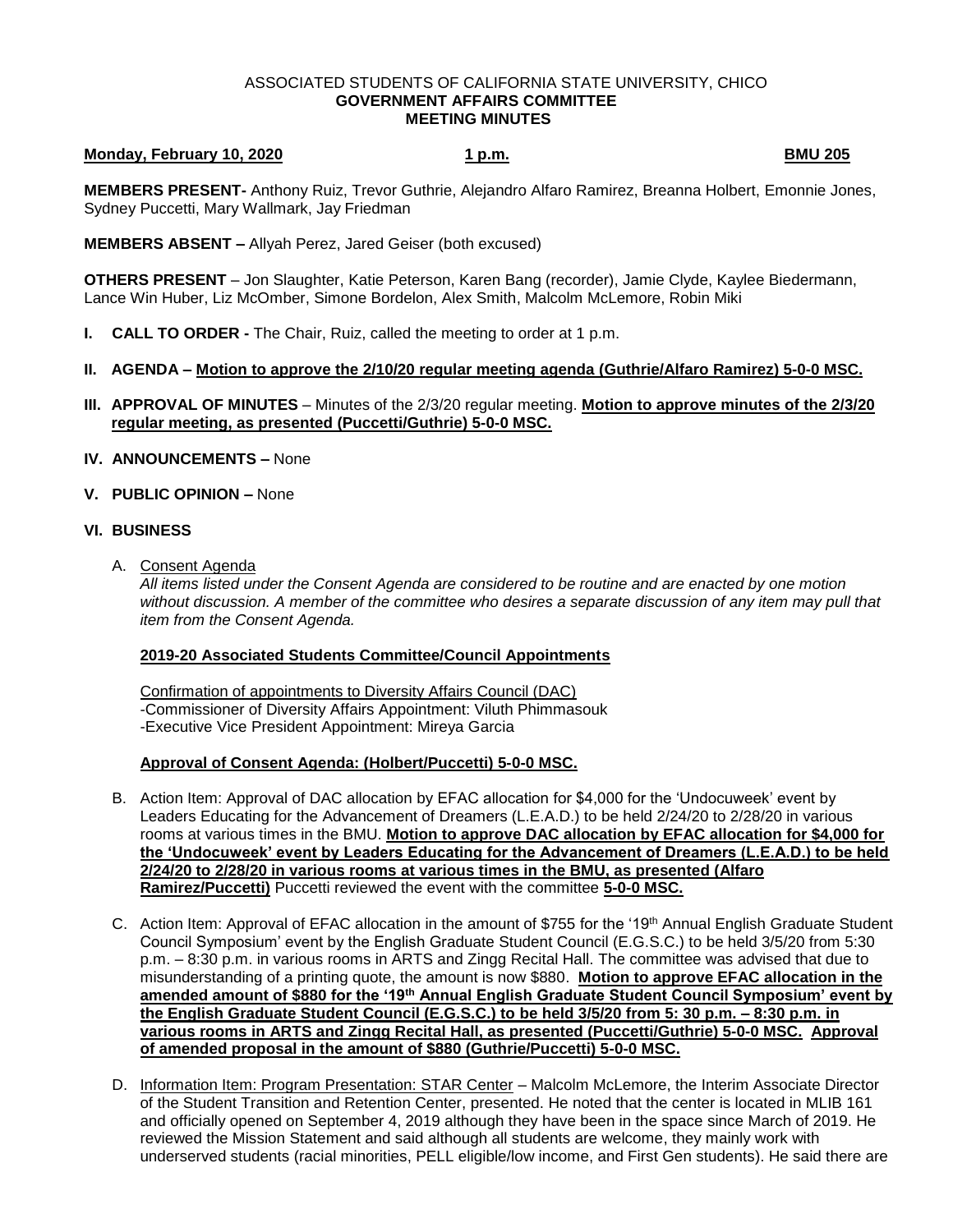#### ASSOCIATED STUDENTS OF CALIFORNIA STATE UNIVERSITY, CHICO **GOVERNMENT AFFAIRS COMMITTEE MEETING MINUTES**

## **Monday, February 10, 2020 1 p.m. BMU 205**

**MEMBERS PRESENT-** Anthony Ruiz, Trevor Guthrie, Alejandro Alfaro Ramirez, Breanna Holbert, Emonnie Jones, Sydney Puccetti, Mary Wallmark, Jay Friedman

**MEMBERS ABSENT –** Allyah Perez, Jared Geiser (both excused)

**OTHERS PRESENT** – Jon Slaughter, Katie Peterson, Karen Bang (recorder), Jamie Clyde, Kaylee Biedermann, Lance Win Huber, Liz McOmber, Simone Bordelon, Alex Smith, Malcolm McLemore, Robin Miki

- **I. CALL TO ORDER -** The Chair, Ruiz, called the meeting to order at 1 p.m.
- **II. AGENDA – Motion to approve the 2/10/20 regular meeting agenda (Guthrie/Alfaro Ramirez) 5-0-0 MSC.**
- **III. APPROVAL OF MINUTES** Minutes of the 2/3/20 regular meeting. **Motion to approve minutes of the 2/3/20 regular meeting, as presented (Puccetti/Guthrie) 5-0-0 MSC.**
- **IV. ANNOUNCEMENTS –** None
- **V. PUBLIC OPINION –** None

### **VI. BUSINESS**

A. Consent Agenda

*All items listed under the Consent Agenda are considered to be routine and are enacted by one motion without discussion. A member of the committee who desires a separate discussion of any item may pull that item from the Consent Agenda.* 

### **2019-20 Associated Students Committee/Council Appointments**

Confirmation of appointments to Diversity Affairs Council (DAC) -Commissioner of Diversity Affairs Appointment: Viluth Phimmasouk -Executive Vice President Appointment: Mireya Garcia

# **Approval of Consent Agenda: (Holbert/Puccetti) 5-0-0 MSC.**

- B. Action Item: Approval of DAC allocation by EFAC allocation for \$4,000 for the 'Undocuweek' event by Leaders Educating for the Advancement of Dreamers (L.E.A.D.) to be held 2/24/20 to 2/28/20 in various rooms at various times in the BMU. **Motion to approve DAC allocation by EFAC allocation for \$4,000 for the 'Undocuweek' event by Leaders Educating for the Advancement of Dreamers (L.E.A.D.) to be held 2/24/20 to 2/28/20 in various rooms at various times in the BMU, as presented (Alfaro Ramirez/Puccetti)** Puccetti reviewed the event with the committee **5-0-0 MSC.**
- C. Action Item: Approval of EFAC allocation in the amount of \$755 for the '19th Annual English Graduate Student Council Symposium' event by the English Graduate Student Council (E.G.S.C.) to be held 3/5/20 from 5:30 p.m. – 8:30 p.m. in various rooms in ARTS and Zingg Recital Hall. The committee was advised that due to misunderstanding of a printing quote, the amount is now \$880. **Motion to approve EFAC allocation in the amended amount of \$880 for the '19th Annual English Graduate Student Council Symposium' event by the English Graduate Student Council (E.G.S.C.) to be held 3/5/20 from 5: 30 p.m. – 8:30 p.m. in various rooms in ARTS and Zingg Recital Hall, as presented (Puccetti/Guthrie) 5-0-0 MSC. Approval of amended proposal in the amount of \$880 (Guthrie/Puccetti) 5-0-0 MSC.**
- D. Information Item: Program Presentation: STAR Center Malcolm McLemore, the Interim Associate Director of the Student Transition and Retention Center, presented. He noted that the center is located in MLIB 161 and officially opened on September 4, 2019 although they have been in the space since March of 2019. He reviewed the Mission Statement and said although all students are welcome, they mainly work with underserved students (racial minorities, PELL eligible/low income, and First Gen students). He said there are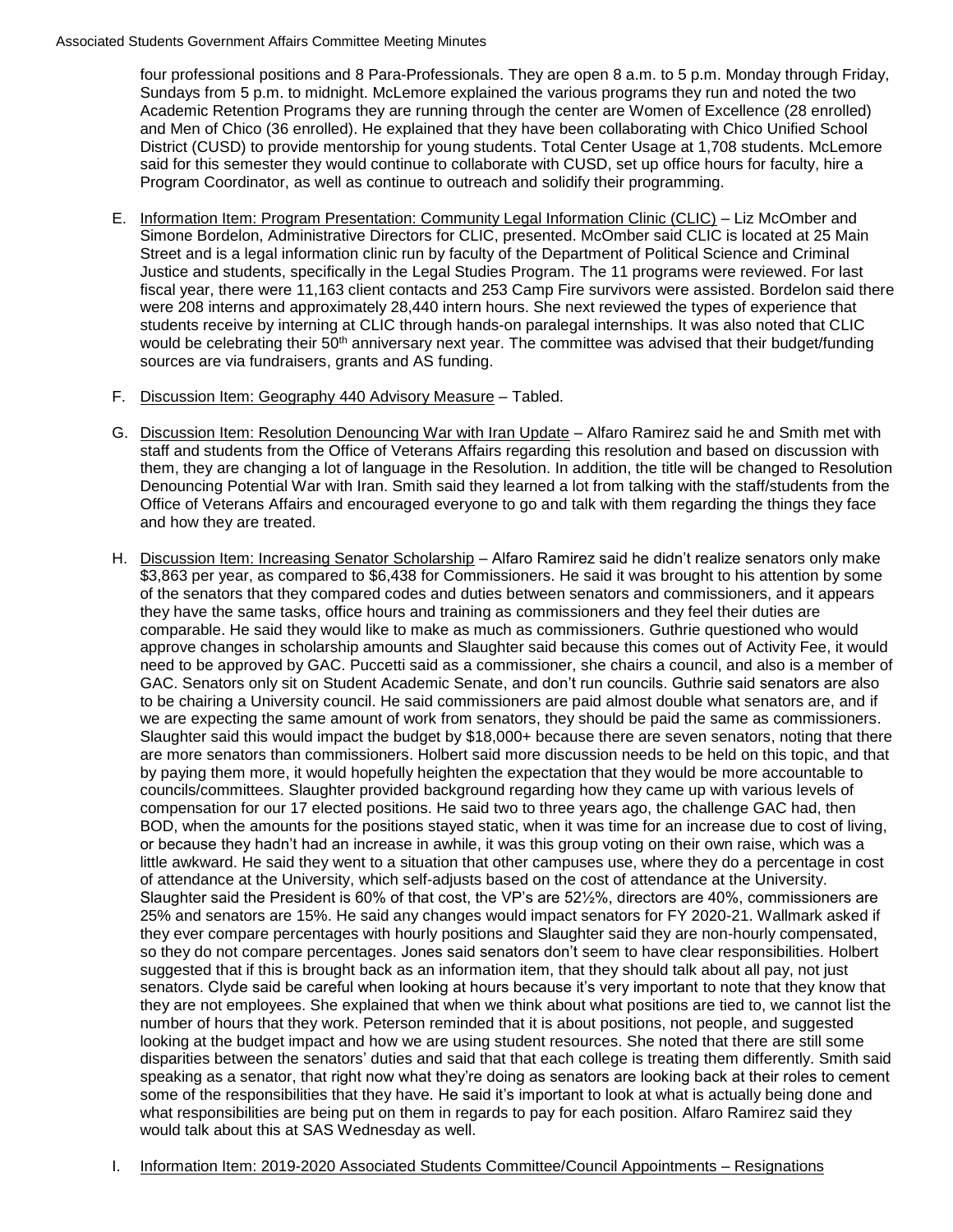#### Associated Students Government Affairs Committee Meeting Minutes

four professional positions and 8 Para-Professionals. They are open 8 a.m. to 5 p.m. Monday through Friday, Sundays from 5 p.m. to midnight. McLemore explained the various programs they run and noted the two Academic Retention Programs they are running through the center are Women of Excellence (28 enrolled) and Men of Chico (36 enrolled). He explained that they have been collaborating with Chico Unified School District (CUSD) to provide mentorship for young students. Total Center Usage at 1,708 students. McLemore said for this semester they would continue to collaborate with CUSD, set up office hours for faculty, hire a Program Coordinator, as well as continue to outreach and solidify their programming.

- E. Information Item: Program Presentation: Community Legal Information Clinic (CLIC) Liz McOmber and Simone Bordelon, Administrative Directors for CLIC, presented. McOmber said CLIC is located at 25 Main Street and is a legal information clinic run by faculty of the Department of Political Science and Criminal Justice and students, specifically in the Legal Studies Program. The 11 programs were reviewed. For last fiscal year, there were 11,163 client contacts and 253 Camp Fire survivors were assisted. Bordelon said there were 208 interns and approximately 28,440 intern hours. She next reviewed the types of experience that students receive by interning at CLIC through hands-on paralegal internships. It was also noted that CLIC would be celebrating their 50<sup>th</sup> anniversary next year. The committee was advised that their budget/funding sources are via fundraisers, grants and AS funding.
- F. Discussion Item: Geography 440 Advisory Measure Tabled.
- G. Discussion Item: Resolution Denouncing War with Iran Update Alfaro Ramirez said he and Smith met with staff and students from the Office of Veterans Affairs regarding this resolution and based on discussion with them, they are changing a lot of language in the Resolution. In addition, the title will be changed to Resolution Denouncing Potential War with Iran. Smith said they learned a lot from talking with the staff/students from the Office of Veterans Affairs and encouraged everyone to go and talk with them regarding the things they face and how they are treated.
- H. Discussion Item: Increasing Senator Scholarship Alfaro Ramirez said he didn't realize senators only make \$3,863 per year, as compared to \$6,438 for Commissioners. He said it was brought to his attention by some of the senators that they compared codes and duties between senators and commissioners, and it appears they have the same tasks, office hours and training as commissioners and they feel their duties are comparable. He said they would like to make as much as commissioners. Guthrie questioned who would approve changes in scholarship amounts and Slaughter said because this comes out of Activity Fee, it would need to be approved by GAC. Puccetti said as a commissioner, she chairs a council, and also is a member of GAC. Senators only sit on Student Academic Senate, and don't run councils. Guthrie said senators are also to be chairing a University council. He said commissioners are paid almost double what senators are, and if we are expecting the same amount of work from senators, they should be paid the same as commissioners. Slaughter said this would impact the budget by \$18,000+ because there are seven senators, noting that there are more senators than commissioners. Holbert said more discussion needs to be held on this topic, and that by paying them more, it would hopefully heighten the expectation that they would be more accountable to councils/committees. Slaughter provided background regarding how they came up with various levels of compensation for our 17 elected positions. He said two to three years ago, the challenge GAC had, then BOD, when the amounts for the positions stayed static, when it was time for an increase due to cost of living, or because they hadn't had an increase in awhile, it was this group voting on their own raise, which was a little awkward. He said they went to a situation that other campuses use, where they do a percentage in cost of attendance at the University, which self-adjusts based on the cost of attendance at the University. Slaughter said the President is 60% of that cost, the VP's are 52½%, directors are 40%, commissioners are 25% and senators are 15%. He said any changes would impact senators for FY 2020-21. Wallmark asked if they ever compare percentages with hourly positions and Slaughter said they are non-hourly compensated, so they do not compare percentages. Jones said senators don't seem to have clear responsibilities. Holbert suggested that if this is brought back as an information item, that they should talk about all pay, not just senators. Clyde said be careful when looking at hours because it's very important to note that they know that they are not employees. She explained that when we think about what positions are tied to, we cannot list the number of hours that they work. Peterson reminded that it is about positions, not people, and suggested looking at the budget impact and how we are using student resources. She noted that there are still some disparities between the senators' duties and said that that each college is treating them differently. Smith said speaking as a senator, that right now what they're doing as senators are looking back at their roles to cement some of the responsibilities that they have. He said it's important to look at what is actually being done and what responsibilities are being put on them in regards to pay for each position. Alfaro Ramirez said they would talk about this at SAS Wednesday as well.
- I. Information Item: 2019-2020 Associated Students Committee/Council Appointments Resignations